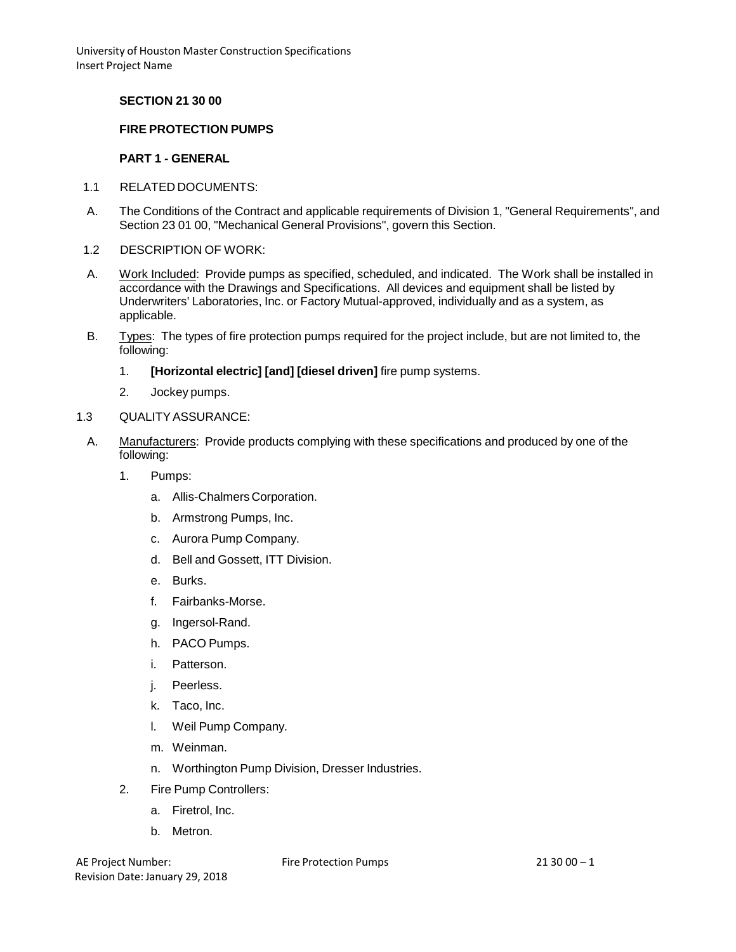### **SECTION 21 30 00**

### **FIRE PROTECTION PUMPS**

#### **PART 1 - GENERAL**

- 1.1 RELATED DOCUMENTS:
- A. The Conditions of the Contract and applicable requirements of Division 1, "General Requirements", and Section 23 01 00, "Mechanical General Provisions", govern this Section.
- 1.2 DESCRIPTION OF WORK:
- A. Work Included: Provide pumps as specified, scheduled, and indicated. The Work shall be installed in accordance with the Drawings and Specifications. All devices and equipment shall be listed by Underwriters' Laboratories, Inc. or Factory Mutual-approved, individually and as a system, as applicable.
- B. Types: The types of fire protection pumps required for the project include, but are not limited to, the following:
	- 1. **[Horizontal electric] [and] [diesel driven]** fire pump systems.
	- 2. Jockey pumps.
- 1.3 QUALITYASSURANCE:
	- A. Manufacturers: Provide products complying with these specifications and produced by one of the following:
		- 1. Pumps:
			- a. Allis-Chalmers Corporation.
			- b. Armstrong Pumps, Inc.
			- c. Aurora Pump Company.
			- d. Bell and Gossett, ITT Division.
			- e. Burks.
			- f. Fairbanks-Morse.
			- g. Ingersol-Rand.
			- h. PACO Pumps.
			- i. Patterson.
			- j. Peerless.
			- k. Taco, Inc.
			- l. Weil Pump Company.
			- m. Weinman.
			- n. Worthington Pump Division, Dresser Industries.
		- 2. Fire Pump Controllers:
			- a. Firetrol, Inc.
			- b. Metron.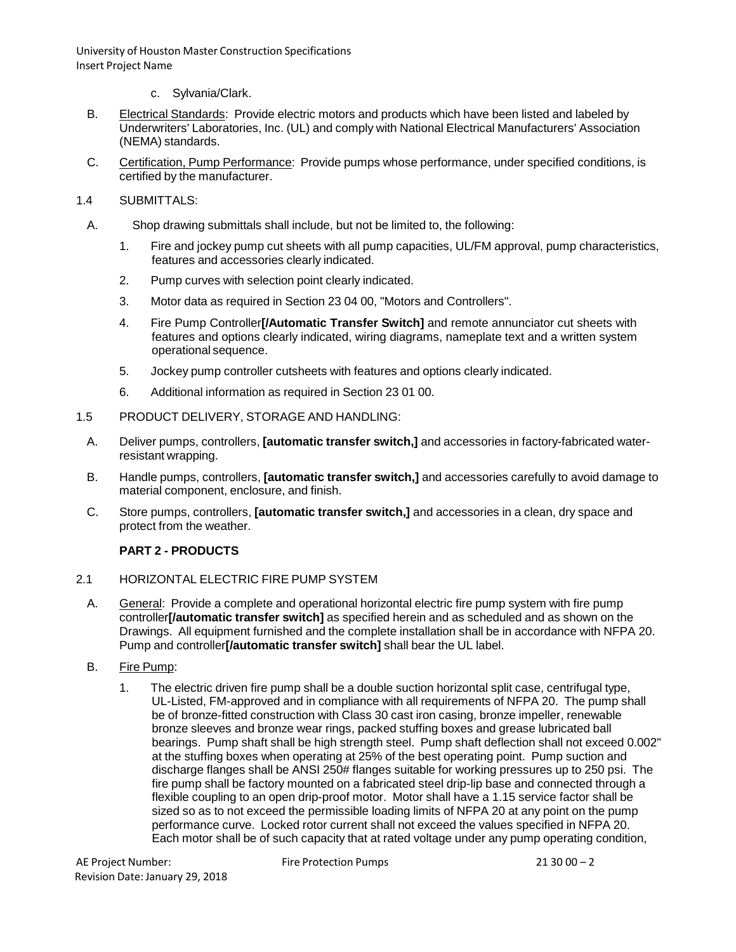- c. Sylvania/Clark.
- B. Electrical Standards: Provide electric motors and products which have been listed and labeled by Underwriters' Laboratories, Inc. (UL) and comply with National Electrical Manufacturers' Association (NEMA) standards.
- C. Certification, Pump Performance: Provide pumps whose performance, under specified conditions, is certified by the manufacturer.
- 1.4 SUBMITTALS:
	- A. Shop drawing submittals shall include, but not be limited to, the following:
		- 1. Fire and jockey pump cut sheets with all pump capacities, UL/FM approval, pump characteristics, features and accessories clearly indicated.
		- 2. Pump curves with selection point clearly indicated.
		- 3. Motor data as required in Section 23 04 00, "Motors and Controllers".
		- 4. Fire Pump Controller**[/Automatic Transfer Switch]** and remote annunciator cut sheets with features and options clearly indicated, wiring diagrams, nameplate text and a written system operational sequence.
		- 5. Jockey pump controller cutsheets with features and options clearly indicated.
		- 6. Additional information as required in Section 23 01 00.
- 1.5 PRODUCT DELIVERY, STORAGE AND HANDLING:
	- A. Deliver pumps, controllers, **[automatic transfer switch,]** and accessories in factory-fabricated waterresistant wrapping.
	- B. Handle pumps, controllers, **[automatic transfer switch,]** and accessories carefully to avoid damage to material component, enclosure, and finish.
	- C. Store pumps, controllers, **[automatic transfer switch,]** and accessories in a clean, dry space and protect from the weather.

# **PART 2 - PRODUCTS**

- 2.1 HORIZONTAL ELECTRIC FIRE PUMP SYSTEM
	- A. General: Provide a complete and operational horizontal electric fire pump system with fire pump controller**[/automatic transfer switch]** as specified herein and as scheduled and as shown on the Drawings. All equipment furnished and the complete installation shall be in accordance with NFPA 20. Pump and controller**[/automatic transfer switch]** shall bear the UL label.
	- B. Fire Pump:
		- 1. The electric driven fire pump shall be a double suction horizontal split case, centrifugal type, UL-Listed, FM-approved and in compliance with all requirements of NFPA 20. The pump shall be of bronze-fitted construction with Class 30 cast iron casing, bronze impeller, renewable bronze sleeves and bronze wear rings, packed stuffing boxes and grease lubricated ball bearings. Pump shaft shall be high strength steel. Pump shaft deflection shall not exceed 0.002" at the stuffing boxes when operating at 25% of the best operating point. Pump suction and discharge flanges shall be ANSI 250# flanges suitable for working pressures up to 250 psi. The fire pump shall be factory mounted on a fabricated steel drip-lip base and connected through a flexible coupling to an open drip-proof motor. Motor shall have a 1.15 service factor shall be sized so as to not exceed the permissible loading limits of NFPA 20 at any point on the pump performance curve. Locked rotor current shall not exceed the values specified in NFPA 20. Each motor shall be of such capacity that at rated voltage under any pump operating condition,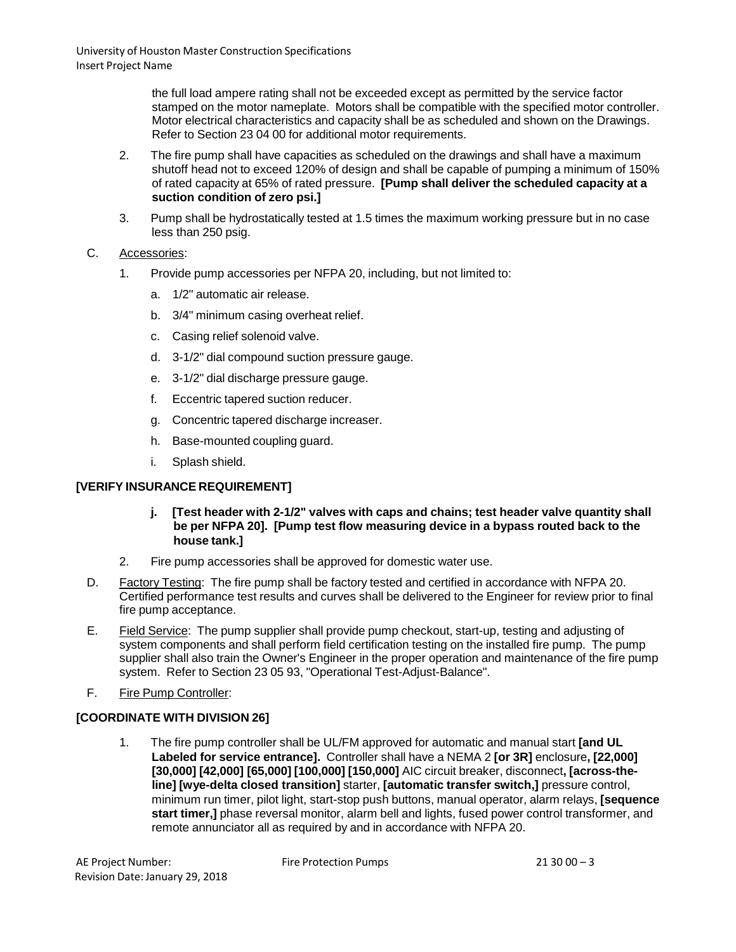the full load ampere rating shall not be exceeded except as permitted by the service factor stamped on the motor nameplate. Motors shall be compatible with the specified motor controller. Motor electrical characteristics and capacity shall be as scheduled and shown on the Drawings. Refer to Section 23 04 00 for additional motor requirements.

- 2. The fire pump shall have capacities as scheduled on the drawings and shall have a maximum shutoff head not to exceed 120% of design and shall be capable of pumping a minimum of 150% of rated capacity at 65% of rated pressure. **[Pump shall deliver the scheduled capacity at a suction condition of zero psi.]**
- 3. Pump shall be hydrostatically tested at 1.5 times the maximum working pressure but in no case less than 250 psig.

# C. Accessories:

- 1. Provide pump accessories per NFPA 20, including, but not limited to:
	- a. 1/2" automatic air release.
	- b. 3/4" minimum casing overheat relief.
	- c. Casing relief solenoid valve.
	- d. 3-1/2" dial compound suction pressure gauge.
	- e. 3-1/2" dial discharge pressure gauge.
	- f. Eccentric tapered suction reducer.
	- g. Concentric tapered discharge increaser.
	- h. Base-mounted coupling guard.
	- i. Splash shield.

# **[VERIFY INSURANCE REQUIREMENT]**

- **j. [Test header with 2-1/2" valves with caps and chains; test header valve quantity shall be per NFPA 20]. [Pump test flow measuring device in a bypass routed back to the house tank.]**
- 2. Fire pump accessories shall be approved for domestic water use.
- D. Factory Testing: The fire pump shall be factory tested and certified in accordance with NFPA 20. Certified performance test results and curves shall be delivered to the Engineer for review prior to final fire pump acceptance.
- E. Field Service: The pump supplier shall provide pump checkout, start-up, testing and adjusting of system components and shall perform field certification testing on the installed fire pump. The pump supplier shall also train the Owner's Engineer in the proper operation and maintenance of the fire pump system. Refer to Section 23 05 93, "Operational Test-Adjust-Balance".
- F. Fire Pump Controller:

# **[COORDINATE WITH DIVISION 26]**

1. The fire pump controller shall be UL/FM approved for automatic and manual start **[and UL Labeled for service entrance].** Controller shall have a NEMA 2 **[or 3R]** enclosure**, [22,000] [30,000] [42,000] [65,000] [100,000] [150,000]** AIC circuit breaker, disconnect**, [across-theline] [wye-delta closed transition]** starter, **[automatic transfer switch,]** pressure control, minimum run timer, pilot light, start-stop push buttons, manual operator, alarm relays, **[sequence start timer,]** phase reversal monitor, alarm bell and lights, fused power control transformer, and remote annunciator all as required by and in accordance with NFPA 20.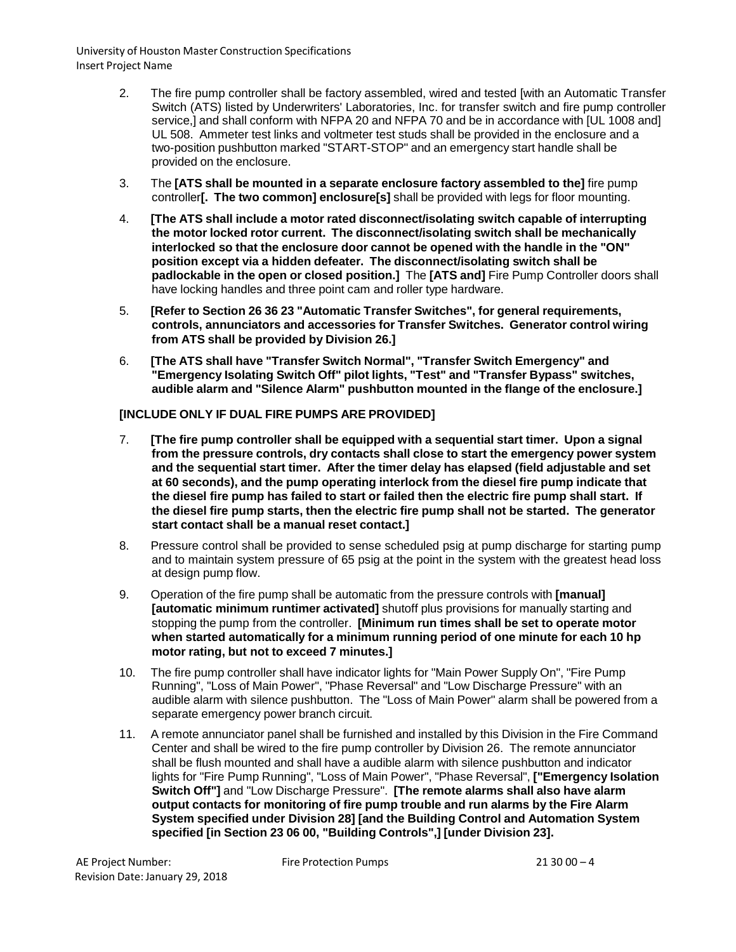- 2. The fire pump controller shall be factory assembled, wired and tested [with an Automatic Transfer Switch (ATS) listed by Underwriters' Laboratories, Inc. for transfer switch and fire pump controller service,] and shall conform with NFPA 20 and NFPA 70 and be in accordance with [UL 1008 and] UL 508. Ammeter test links and voltmeter test studs shall be provided in the enclosure and a two-position pushbutton marked "START-STOP" and an emergency start handle shall be provided on the enclosure.
- 3. The **[ATS shall be mounted in a separate enclosure factory assembled to the]** fire pump controller**[. The two common] enclosure[s]** shall be provided with legs for floor mounting.
- 4. **[The ATS shall include a motor rated disconnect/isolating switch capable of interrupting the motor locked rotor current. The disconnect/isolating switch shall be mechanically interlocked so that the enclosure door cannot be opened with the handle in the "ON" position except via a hidden defeater. The disconnect/isolating switch shall be padlockable in the open or closed position.]** The **[ATS and]** Fire Pump Controller doors shall have locking handles and three point cam and roller type hardware.
- 5. **[Refer to Section 26 36 23 "Automatic Transfer Switches", for general requirements, controls, annunciators and accessories for Transfer Switches. Generator control wiring from ATS shall be provided by Division 26.]**
- 6. **[The ATS shall have "Transfer Switch Normal", "Transfer Switch Emergency" and "Emergency Isolating Switch Off" pilot lights, "Test" and "Transfer Bypass" switches, audible alarm and "Silence Alarm" pushbutton mounted in the flange of the enclosure.]**

### **[INCLUDE ONLY IF DUAL FIRE PUMPS ARE PROVIDED]**

- 7. **[The fire pump controller shall be equipped with a sequential start timer. Upon a signal from the pressure controls, dry contacts shall close to start the emergency power system and the sequential start timer. After the timer delay has elapsed (field adjustable and set at 60 seconds), and the pump operating interlock from the diesel fire pump indicate that the diesel fire pump has failed to start or failed then the electric fire pump shall start. If the diesel fire pump starts, then the electric fire pump shall not be started. The generator start contact shall be a manual reset contact.]**
- 8. Pressure control shall be provided to sense scheduled psig at pump discharge for starting pump and to maintain system pressure of 65 psig at the point in the system with the greatest head loss at design pump flow.
- 9. Operation of the fire pump shall be automatic from the pressure controls with **[manual] [automatic minimum runtimer activated]** shutoff plus provisions for manually starting and stopping the pump from the controller. **[Minimum run times shall be set to operate motor when started automatically for a minimum running period of one minute for each 10 hp motor rating, but not to exceed 7 minutes.]**
- 10. The fire pump controller shall have indicator lights for "Main Power Supply On", "Fire Pump Running", "Loss of Main Power", "Phase Reversal" and "Low Discharge Pressure" with an audible alarm with silence pushbutton. The "Loss of Main Power" alarm shall be powered from a separate emergency power branch circuit.
- 11. A remote annunciator panel shall be furnished and installed by this Division in the Fire Command Center and shall be wired to the fire pump controller by Division 26. The remote annunciator shall be flush mounted and shall have a audible alarm with silence pushbutton and indicator lights for "Fire Pump Running", "Loss of Main Power", "Phase Reversal", **["Emergency Isolation Switch Off"]** and "Low Discharge Pressure". **[The remote alarms shall also have alarm output contacts for monitoring of fire pump trouble and run alarms by the Fire Alarm System specified under Division 28] [and the Building Control and Automation System specified [in Section 23 06 00, "Building Controls",] [under Division 23].**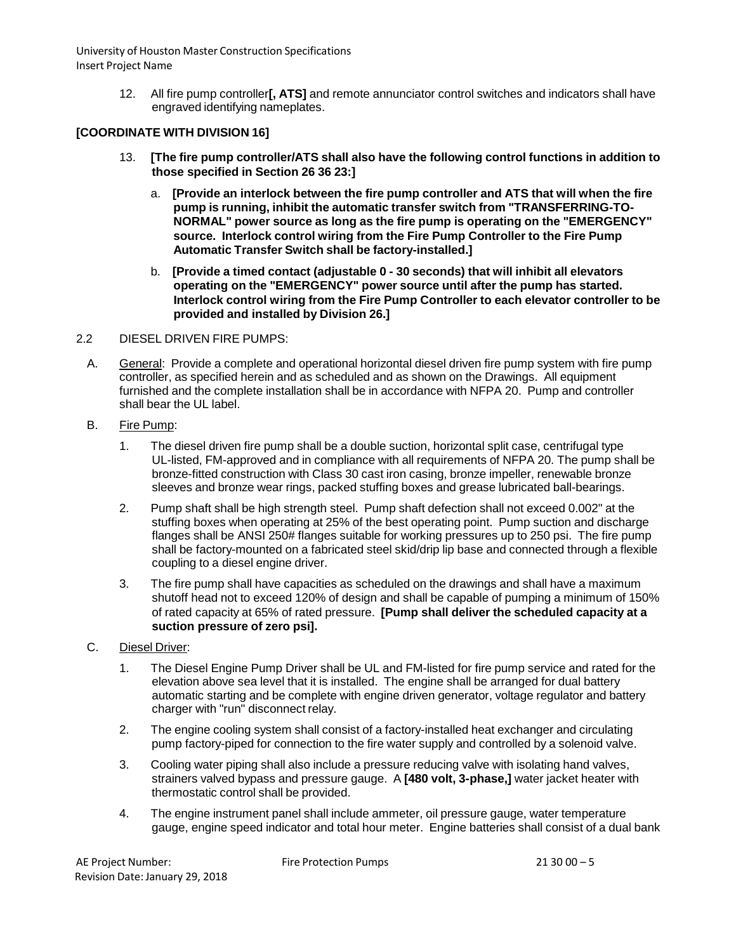> 12. All fire pump controller**[, ATS]** and remote annunciator control switches and indicators shall have engraved identifying nameplates.

### **[COORDINATE WITH DIVISION 16]**

- 13. **[The fire pump controller/ATS shall also have the following control functions in addition to those specified in Section 26 36 23:]**
	- a. **[Provide an interlock between the fire pump controller and ATS that will when the fire pump is running, inhibit the automatic transfer switch from "TRANSFERRING-TO-NORMAL" power source as long as the fire pump is operating on the "EMERGENCY" source. Interlock control wiring from the Fire Pump Controller to the Fire Pump Automatic Transfer Switch shall be factory-installed.]**
	- b. **[Provide a timed contact (adjustable 0 - 30 seconds) that will inhibit all elevators operating on the "EMERGENCY" power source until after the pump has started. Interlock control wiring from the Fire Pump Controller to each elevator controller to be provided and installed by Division 26.]**

#### 2.2 DIESEL DRIVEN FIRE PUMPS:

- A. General: Provide a complete and operational horizontal diesel driven fire pump system with fire pump controller, as specified herein and as scheduled and as shown on the Drawings. All equipment furnished and the complete installation shall be in accordance with NFPA 20. Pump and controller shall bear the UL label
- B. Fire Pump:
	- 1. The diesel driven fire pump shall be a double suction, horizontal split case, centrifugal type UL-listed, FM-approved and in compliance with all requirements of NFPA 20. The pump shall be bronze-fitted construction with Class 30 cast iron casing, bronze impeller, renewable bronze sleeves and bronze wear rings, packed stuffing boxes and grease lubricated ball-bearings.
	- 2. Pump shaft shall be high strength steel. Pump shaft defection shall not exceed 0.002" at the stuffing boxes when operating at 25% of the best operating point. Pump suction and discharge flanges shall be ANSI 250# flanges suitable for working pressures up to 250 psi. The fire pump shall be factory-mounted on a fabricated steel skid/drip lip base and connected through a flexible coupling to a diesel engine driver.
	- 3. The fire pump shall have capacities as scheduled on the drawings and shall have a maximum shutoff head not to exceed 120% of design and shall be capable of pumping a minimum of 150% of rated capacity at 65% of rated pressure. **[Pump shall deliver the scheduled capacity at a suction pressure of zero psi].**

### C. Diesel Driver:

- 1. The Diesel Engine Pump Driver shall be UL and FM-listed for fire pump service and rated for the elevation above sea level that it is installed. The engine shall be arranged for dual battery automatic starting and be complete with engine driven generator, voltage regulator and battery charger with "run" disconnect relay.
- 2. The engine cooling system shall consist of a factory-installed heat exchanger and circulating pump factory-piped for connection to the fire water supply and controlled by a solenoid valve.
- 3. Cooling water piping shall also include a pressure reducing valve with isolating hand valves, strainers valved bypass and pressure gauge. A **[480 volt, 3-phase,]** water jacket heater with thermostatic control shall be provided.
- 4. The engine instrument panel shall include ammeter, oil pressure gauge, water temperature gauge, engine speed indicator and total hour meter. Engine batteries shall consist of a dual bank

Fire Protection Pumps 21 30 00 – 5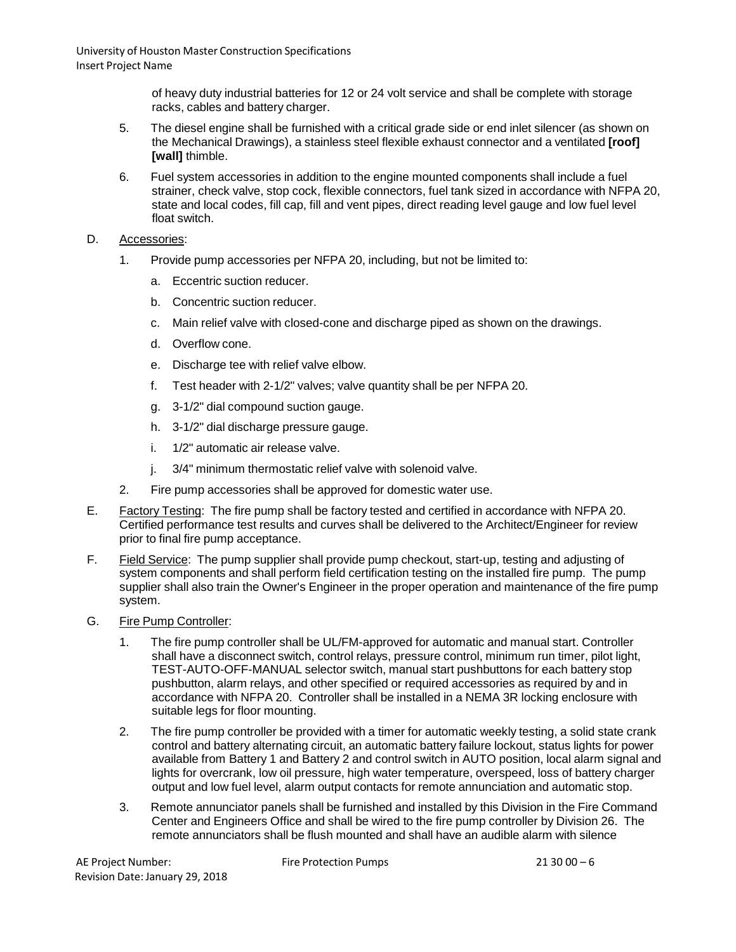> of heavy duty industrial batteries for 12 or 24 volt service and shall be complete with storage racks, cables and battery charger.

- 5. The diesel engine shall be furnished with a critical grade side or end inlet silencer (as shown on the Mechanical Drawings), a stainless steel flexible exhaust connector and a ventilated **[roof] [wall]** thimble.
- 6. Fuel system accessories in addition to the engine mounted components shall include a fuel strainer, check valve, stop cock, flexible connectors, fuel tank sized in accordance with NFPA 20, state and local codes, fill cap, fill and vent pipes, direct reading level gauge and low fuel level float switch.
- D. Accessories:
	- 1. Provide pump accessories per NFPA 20, including, but not be limited to:
		- a. Eccentric suction reducer.
		- b. Concentric suction reducer.
		- c. Main relief valve with closed-cone and discharge piped as shown on the drawings.
		- d. Overflow cone.
		- e. Discharge tee with relief valve elbow.
		- f. Test header with 2-1/2" valves; valve quantity shall be per NFPA 20.
		- g. 3-1/2" dial compound suction gauge.
		- h. 3-1/2" dial discharge pressure gauge.
		- i. 1/2" automatic air release valve.
		- j. 3/4" minimum thermostatic relief valve with solenoid valve.
	- 2. Fire pump accessories shall be approved for domestic water use.
- E. Factory Testing: The fire pump shall be factory tested and certified in accordance with NFPA 20. Certified performance test results and curves shall be delivered to the Architect/Engineer for review prior to final fire pump acceptance.
- F. Field Service: The pump supplier shall provide pump checkout, start-up, testing and adjusting of system components and shall perform field certification testing on the installed fire pump. The pump supplier shall also train the Owner's Engineer in the proper operation and maintenance of the fire pump system.
- G. Fire Pump Controller:
	- 1. The fire pump controller shall be UL/FM-approved for automatic and manual start. Controller shall have a disconnect switch, control relays, pressure control, minimum run timer, pilot light, TEST-AUTO-OFF-MANUAL selector switch, manual start pushbuttons for each battery stop pushbutton, alarm relays, and other specified or required accessories as required by and in accordance with NFPA 20. Controller shall be installed in a NEMA 3R locking enclosure with suitable legs for floor mounting.
	- 2. The fire pump controller be provided with a timer for automatic weekly testing, a solid state crank control and battery alternating circuit, an automatic battery failure lockout, status lights for power available from Battery 1 and Battery 2 and control switch in AUTO position, local alarm signal and lights for overcrank, low oil pressure, high water temperature, overspeed, loss of battery charger output and low fuel level, alarm output contacts for remote annunciation and automatic stop.
	- 3. Remote annunciator panels shall be furnished and installed by this Division in the Fire Command Center and Engineers Office and shall be wired to the fire pump controller by Division 26. The remote annunciators shall be flush mounted and shall have an audible alarm with silence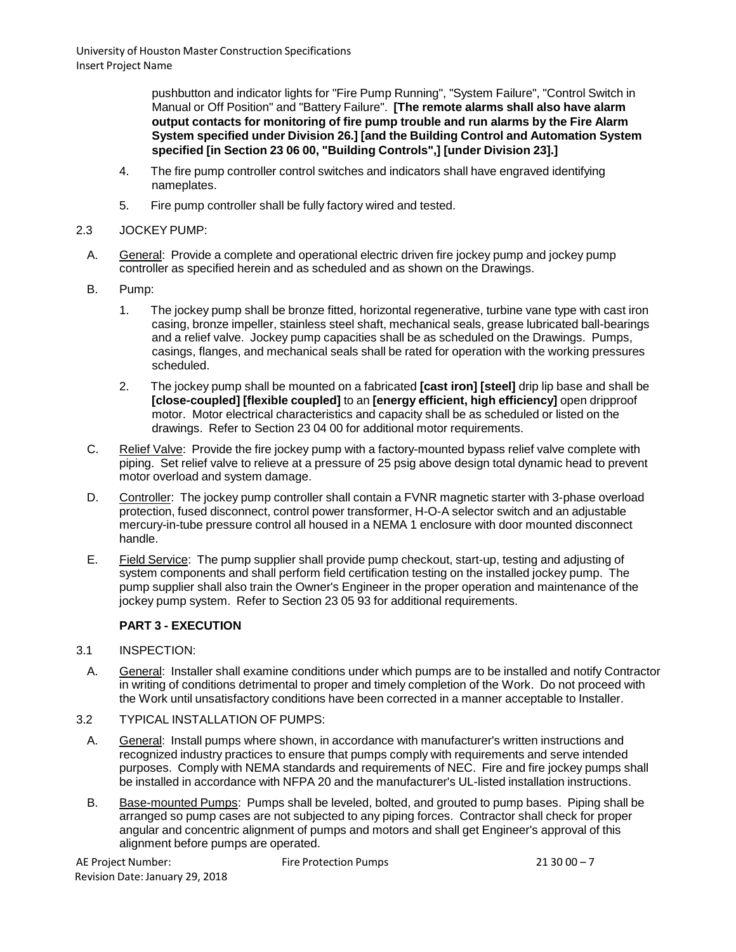pushbutton and indicator lights for "Fire Pump Running", "System Failure", "Control Switch in Manual or Off Position" and "Battery Failure". **[The remote alarms shall also have alarm output contacts for monitoring of fire pump trouble and run alarms by the Fire Alarm System specified under Division 26.] [and the Building Control and Automation System specified [in Section 23 06 00, "Building Controls",] [under Division 23].]**

- 4. The fire pump controller control switches and indicators shall have engraved identifying nameplates.
- 5. Fire pump controller shall be fully factory wired and tested.

### 2.3 JOCKEY PUMP:

- A. General: Provide a complete and operational electric driven fire jockey pump and jockey pump controller as specified herein and as scheduled and as shown on the Drawings.
- B. Pump:
	- 1. The jockey pump shall be bronze fitted, horizontal regenerative, turbine vane type with cast iron casing, bronze impeller, stainless steel shaft, mechanical seals, grease lubricated ball-bearings and a relief valve. Jockey pump capacities shall be as scheduled on the Drawings. Pumps, casings, flanges, and mechanical seals shall be rated for operation with the working pressures scheduled.
	- 2. The jockey pump shall be mounted on a fabricated **[cast iron] [steel]** drip lip base and shall be **[close-coupled] [flexible coupled]** to an **[energy efficient, high efficiency]** open dripproof motor. Motor electrical characteristics and capacity shall be as scheduled or listed on the drawings. Refer to Section 23 04 00 for additional motor requirements.
- C. Relief Valve: Provide the fire jockey pump with a factory-mounted bypass relief valve complete with piping. Set relief valve to relieve at a pressure of 25 psig above design total dynamic head to prevent motor overload and system damage.
- D. Controller: The jockey pump controller shall contain a FVNR magnetic starter with 3-phase overload protection, fused disconnect, control power transformer, H-O-A selector switch and an adjustable mercury-in-tube pressure control all housed in a NEMA 1 enclosure with door mounted disconnect handle.
- E. Field Service: The pump supplier shall provide pump checkout, start-up, testing and adjusting of system components and shall perform field certification testing on the installed jockey pump. The pump supplier shall also train the Owner's Engineer in the proper operation and maintenance of the jockey pump system. Refer to Section 23 05 93 for additional requirements.

# **PART 3 - EXECUTION**

### 3.1 INSPECTION:

- A. General: Installer shall examine conditions under which pumps are to be installed and notify Contractor in writing of conditions detrimental to proper and timely completion of the Work. Do not proceed with the Work until unsatisfactory conditions have been corrected in a manner acceptable to Installer.
- 3.2 TYPICAL INSTALLATION OF PUMPS:
	- A. General: Install pumps where shown, in accordance with manufacturer's written instructions and recognized industry practices to ensure that pumps comply with requirements and serve intended purposes. Comply with NEMA standards and requirements of NEC. Fire and fire jockey pumps shall be installed in accordance with NFPA 20 and the manufacturer's UL-listed installation instructions.
	- B. Base-mounted Pumps: Pumps shall be leveled, bolted, and grouted to pump bases. Piping shall be arranged so pump cases are not subjected to any piping forces. Contractor shall check for proper angular and concentric alignment of pumps and motors and shall get Engineer's approval of this alignment before pumps are operated.

Fire Protection Pumps 21 30 00 – 7